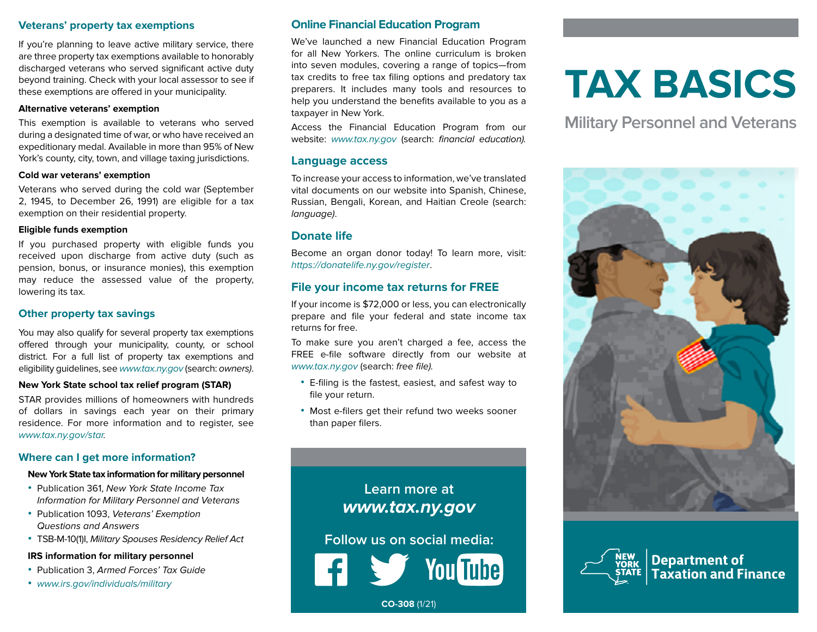#### **Veterans' property tax exemptions**

If you're planning to leave active military service, there are three property tax exemptions available to honorably discharged veterans who served significant active duty beyond training. Check with your local assessor to see if these exemptions are offered in your municipality.

#### **Alternative veterans' exemption**

This exemption is available to veterans who served during a designated time of war, or who have received an expeditionary medal. Available in more than 95% of New York's county, city, town, and village taxing jurisdictions.

#### **Cold war veterans' exemption**

Veterans who served during the cold war (September 2, 1945, to December 26, 1991) are eligible for a tax exemption on their residential property.

#### **Eligible funds exemption**

If you purchased property with eligible funds you received upon discharge from active duty (such as pension, bonus, or insurance monies), this exemption may reduce the assessed value of the property, lowering its tax.

#### **Other property tax savings**

You may also qualify for several property tax exemptions offered through your municipality, county, or school district. For a full list of property tax exemptions and eligibility guidelines, see www.tax.ny.gov (search: owners).

#### **New York State school tax relief program (STAR)**

STAR provides millions of homeowners with hundreds of dollars in savings each year on their primary residence. For more information and to register, see www.tax.ny.gov/star.

# **Where can I get more information?**

#### **New York State tax information for military personnel**

- **•** Publication 361, New York State Income Tax Information for Military Personnel and Veterans
- **•** Publication 1093, Veterans' Exemption Questions and Answers
- **•** TSB-M-10(1)I, Military Spouses Residency Relief Act

#### **IRS information for military personnel**

- **•** Publication 3, Armed Forces' Tax Guide
- **•** www.irs.gov/individuals/military

# **Online Financial Education Program**

We've launched a new Financial Education Program for all New Yorkers. The online curriculum is broken into seven modules, covering a range of topics—from tax credits to free tax filing options and predatory tax preparers. It includes many tools and resources to help you understand the benefits available to you as a taxpayer in New York.

Access the Financial Education Program from our website: www.tax.ny.gov (search: financial education).

#### **Language access**

To increase your access to information, we've translated vital documents on our website into Spanish, Chinese, Russian, Bengali, Korean, and Haitian Creole (search: language).

# **Donate life**

Become an organ donor today! To learn more, visit: https://donatelife.ny.gov/register.

# **File your income tax returns for FREE**

If your income is \$72,000 or less, you can electronically prepare and file your federal and state income tax returns for free.

To make sure you aren't charged a fee, access the FREE e-file software directly from our website at www.tax.ny.gov (search: free file).

- **•** E-filing is the fastest, easiest, and safest way to file your return.
- **•** Most e-filers get their refund two weeks sooner than paper filers.

# **Learn more at www.tax.ny.gov**

**Follow us on social media:**

# **TAX BASICS**

**Military Personnel and Veterans**





**Department of<br>Taxation and Finance** 

**CO-308** (1/21)

**You Tube**